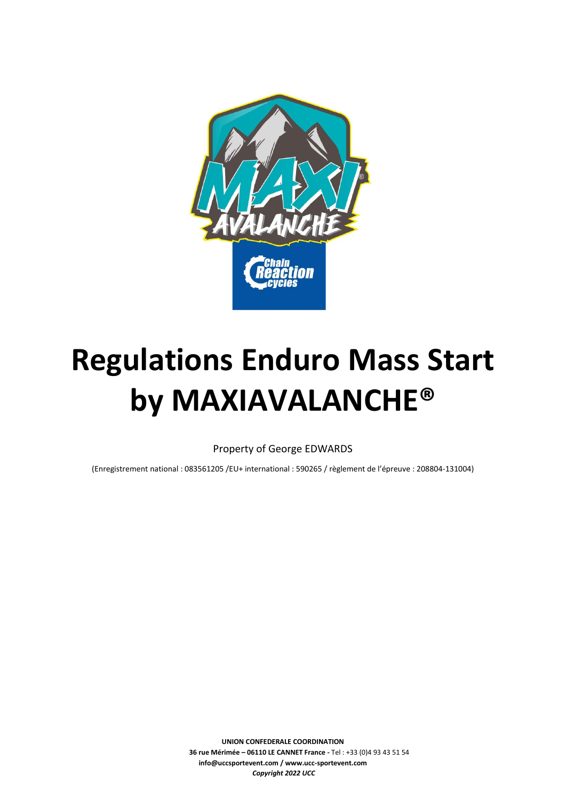

# **Regulations Enduro Mass Start by MAXIAVALANCHE®**

Property of George EDWARDS

(Enregistrement national : 083561205 /EU+ international : 590265 / règlement de l'épreuve : 208804-131004)

**UNION CONFEDERALE COORDINATION 36 rue Mérimée – 06110 LE CANNET France -** Tel : +33 (0)4 93 43 51 54 **info@uccsportevent.com / www.ucc-sportevent.com** *Copyright 2022 UCC*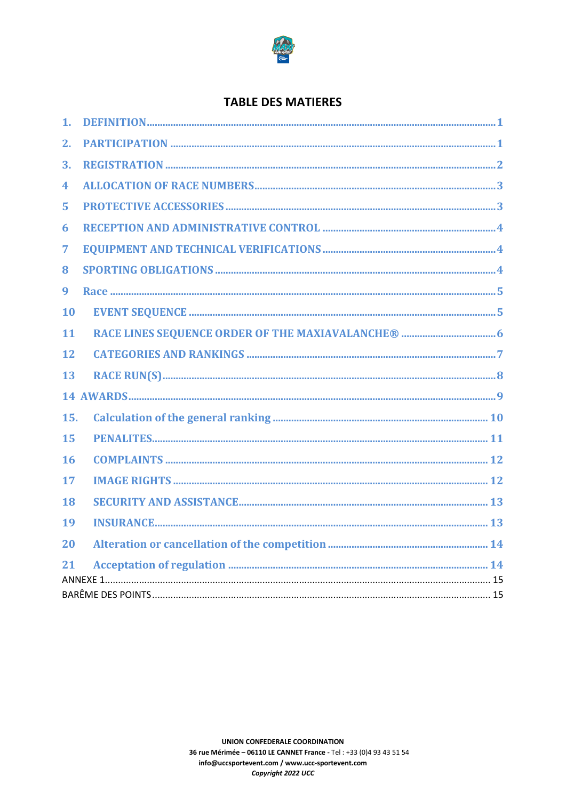

# **TABLE DES MATIERES**

| $\mathbf{1}$ . |  |  |  |  |  |
|----------------|--|--|--|--|--|
| 2.             |  |  |  |  |  |
| 3.             |  |  |  |  |  |
| 4              |  |  |  |  |  |
| 5              |  |  |  |  |  |
| 6              |  |  |  |  |  |
| 7              |  |  |  |  |  |
| 8              |  |  |  |  |  |
| 9              |  |  |  |  |  |
| 10             |  |  |  |  |  |
| 11             |  |  |  |  |  |
| 12             |  |  |  |  |  |
| 13             |  |  |  |  |  |
|                |  |  |  |  |  |
| 15.            |  |  |  |  |  |
| 15             |  |  |  |  |  |
| 16             |  |  |  |  |  |
| 17             |  |  |  |  |  |
| 18             |  |  |  |  |  |
| 19             |  |  |  |  |  |
| 20             |  |  |  |  |  |
| 21             |  |  |  |  |  |
|                |  |  |  |  |  |
|                |  |  |  |  |  |
|                |  |  |  |  |  |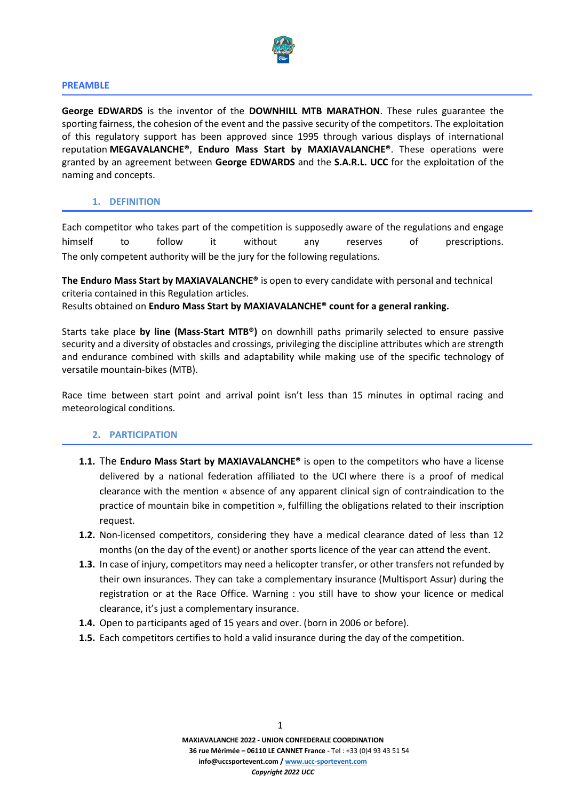

#### **PREAMBLE**

**George EDWARDS** is the inventor of the **DOWNHILL MTB MARATHON**. These rules guarantee the sporting fairness, the cohesion of the event and the passive security of the competitors. The exploitation of this regulatory support has been approved since 1995 through various displays of international reputation **MEGAVALANCHE®**, **Enduro Mass Start by MAXIAVALANCHE®**. These operations were granted by an agreement between **George EDWARDS** and the **S.A.R.L. UCC** for the exploitation of the naming and concepts.

# **1. DEFINITION**

Each competitor who takes part of the competition is supposedly aware of the regulations and engage himself to follow it without any reserves of prescriptions. The only competent authority will be the jury for the following regulations.

**The Enduro Mass Start by MAXIAVALANCHE®** is open to every candidate with personal and technical criteria contained in this Regulation articles. Results obtained on **Enduro Mass Start by MAXIAVALANCHE® count for a general ranking.**

Starts take place **by line (Mass-Start MTB®)** on downhill paths primarily selected to ensure passive security and a diversity of obstacles and crossings, privileging the discipline attributes which are strength and endurance combined with skills and adaptability while making use of the specific technology of versatile mountain-bikes (MTB).

Race time between start point and arrival point isn't less than 15 minutes in optimal racing and meteorological conditions.

# **2. PARTICIPATION**

- **1.1.** The **Enduro Mass Start by MAXIAVALANCHE®** is open to the competitors who have a license delivered by a national federation affiliated to the UCI where there is a proof of medical clearance with the mention « absence of any apparent clinical sign of contraindication to the practice of mountain bike in competition », fulfilling the obligations related to their inscription request.
- **1.2.** Non-licensed competitors, considering they have a medical clearance dated of less than 12 months (on the day of the event) or another sports licence of the year can attend the event.
- **1.3.** In case of injury, competitors may need a helicopter transfer, or other transfers not refunded by their own insurances. They can take a complementary insurance (Multisport Assur) during the registration or at the Race Office. Warning : you still have to show your licence or medical clearance, it's just a complementary insurance.
- **1.4.** Open to participants aged of 15 years and over. (born in 2006 or before).
- **1.5.** Each competitors certifies to hold a valid insurance during the day of the competition.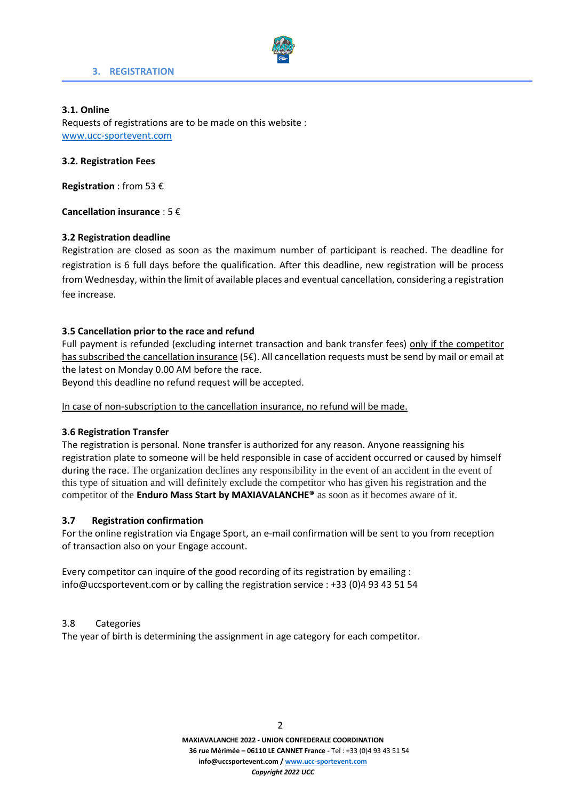

# **3. REGISTRATION**

# **3.1. Online**

Requests of registrations are to be made on this website : [www.ucc-sportevent.com](http://www.ucc-sportevent.com/hyper-sport/)

# **3.2. Registration Fees**

**Registration** : from 53 €

**Cancellation insurance** : 5 €

# **3.2 Registration deadline**

Registration are closed as soon as the maximum number of participant is reached. The deadline for registration is 6 full days before the qualification. After this deadline, new registration will be process from Wednesday, within the limit of available places and eventual cancellation, considering a registration fee increase.

# **3.5 Cancellation prior to the race and refund**

Full payment is refunded (excluding internet transaction and bank transfer fees) only if the competitor has subscribed the cancellation insurance (5€). All cancellation requests must be send by mail or email at the latest on Monday 0.00 AM before the race.

Beyond this deadline no refund request will be accepted.

In case of non-subscription to the cancellation insurance, no refund will be made.

# **3.6 Registration Transfer**

The registration is personal. None transfer is authorized for any reason. Anyone reassigning his registration plate to someone will be held responsible in case of accident occurred or caused by himself during the race. The organization declines any responsibility in the event of an accident in the event of this type of situation and will definitely exclude the competitor who has given his registration and the competitor of the **Enduro Mass Start by MAXIAVALANCHE®** as soon as it becomes aware of it.

# **3.7 Registration confirmation**

For the online registration via Engage Sport, an e-mail confirmation will be sent to you from reception of transaction also on your Engage account.

Every competitor can inquire of the good recording of its registration by emailing : info@uccsportevent.com or by calling the registration service : +33 (0)4 93 43 51 54

# 3.8 Categories

The year of birth is determining the assignment in age category for each competitor.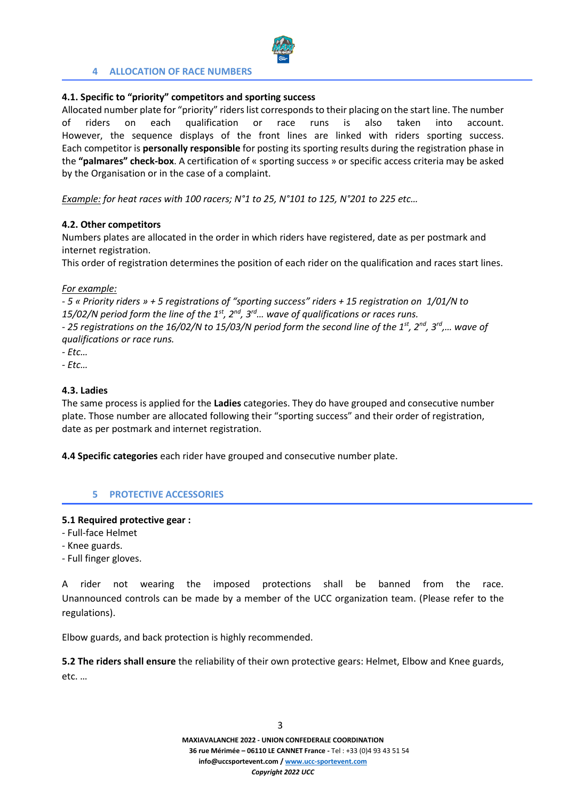

# **4 ALLOCATION OF RACE NUMBERS**

# **4.1. Specific to "priority" competitors and sporting success**

Allocated number plate for "priority" riders list corresponds to their placing on the start line. The number of riders on each qualification or race runs is also taken into account. However, the sequence displays of the front lines are linked with riders sporting success. Each competitor is **personally responsible** for posting its sporting results during the registration phase in the **"palmares" check-box**. A certification of « sporting success » or specific access criteria may be asked by the Organisation or in the case of a complaint.

*Example: for heat races with 100 racers; N°1 to 25, N°101 to 125, N°201 to 225 etc…*

# **4.2. Other competitors**

Numbers plates are allocated in the order in which riders have registered, date as per postmark and internet registration.

This order of registration determines the position of each rider on the qualification and races start lines.

*For example:*

*- 5 « Priority riders » + 5 registrations of "sporting success" riders + 15 registration on 1/01/N to 15/02/N period form the line of the 1st, 2nd, 3rd… wave of qualifications or races runs.* 

*- 25 registrations on the 16/02/N to 15/03/N period form the second line of the 1st, 2nd, 3rd ,… wave of qualifications or race runs.* 

- *- Etc…*
- *- Etc…*

# **4.3. Ladies**

The same process is applied for the **Ladies** categories. They do have grouped and consecutive number plate. Those number are allocated following their "sporting success" and their order of registration, date as per postmark and internet registration.

**4.4 Specific categories** each rider have grouped and consecutive number plate.

# **5 PROTECTIVE ACCESSORIES**

# **5.1 Required protective gear :**

- Full-face Helmet
- Knee guards.
- Full finger gloves.

A rider not wearing the imposed protections shall be banned from the race. Unannounced controls can be made by a member of the UCC organization team. (Please refer to the regulations).

Elbow guards, and back protection is highly recommended.

**5.2 The riders shall ensure** the reliability of their own protective gears: Helmet, Elbow and Knee guards, etc. …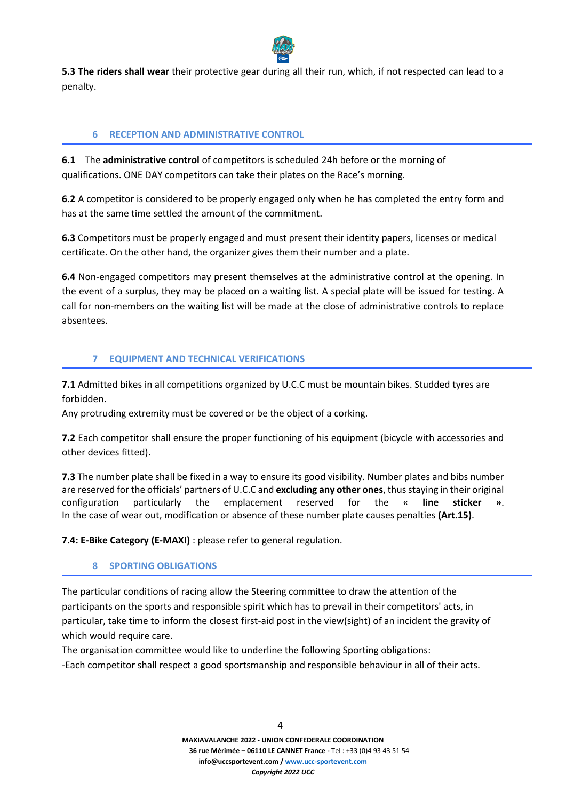

**5.3 The riders shall wear** their protective gear during all their run, which, if not respected can lead to a penalty.

# **6 RECEPTION AND ADMINISTRATIVE CONTROL**

**6.1** The **administrative control** of competitors is scheduled 24h before or the morning of qualifications. ONE DAY competitors can take their plates on the Race's morning.

**6.2** A competitor is considered to be properly engaged only when he has completed the entry form and has at the same time settled the amount of the commitment.

**6.3** Competitors must be properly engaged and must present their identity papers, licenses or medical certificate. On the other hand, the organizer gives them their number and a plate.

**6.4** Non-engaged competitors may present themselves at the administrative control at the opening. In the event of a surplus, they may be placed on a waiting list. A special plate will be issued for testing. A call for non-members on the waiting list will be made at the close of administrative controls to replace absentees.

# **7 EQUIPMENT AND TECHNICAL VERIFICATIONS**

**7.1** Admitted bikes in all competitions organized by U.C.C must be mountain bikes. Studded tyres are forbidden.

Any protruding extremity must be covered or be the object of a corking.

**7.2** Each competitor shall ensure the proper functioning of his equipment (bicycle with accessories and other devices fitted).

**7.3** The number plate shall be fixed in a way to ensure its good visibility. Number plates and bibs number are reserved for the officials' partners of U.C.C and **excluding any other ones**, thus staying in their original configuration particularly the emplacement reserved for the « **line sticker »**. In the case of wear out, modification or absence of these number plate causes penalties **(Art.15)**.

**7.4: E-Bike Category (E-MAXI)** : please refer to general regulation.

# **8 SPORTING OBLIGATIONS**

The particular conditions of racing allow the Steering committee to draw the attention of the participants on the sports and responsible spirit which has to prevail in their competitors' acts, in particular, take time to inform the closest first-aid post in the view(sight) of an incident the gravity of which would require care.

The organisation committee would like to underline the following Sporting obligations: -Each competitor shall respect a good sportsmanship and responsible behaviour in all of their acts.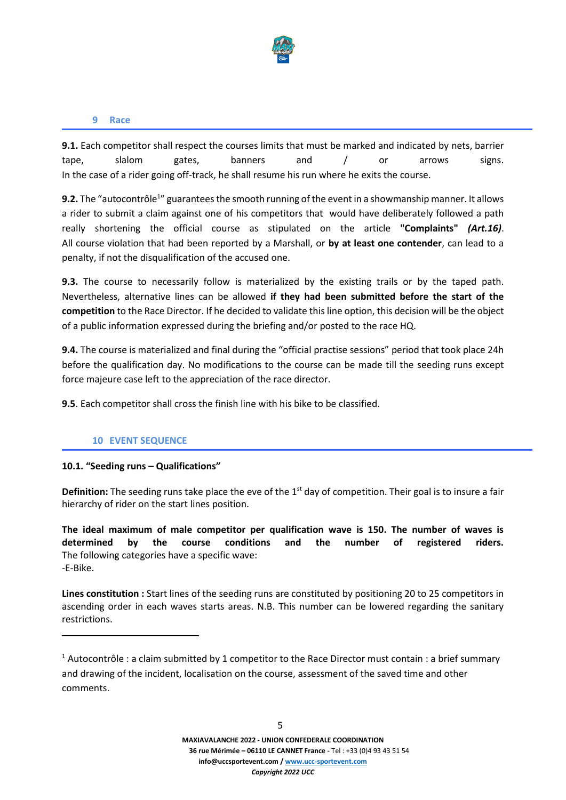

#### **9 Race**

**9.1.** Each competitor shall respect the courses limits that must be marked and indicated by nets, barrier tape, slalom gates, banners and / or arrows signs. In the case of a rider going off-track, he shall resume his run where he exits the course.

9.2. The "autocontrôle<sup>1</sup>" guarantees the smooth running of the event in a showmanship manner. It allows a rider to submit a claim against one of his competitors that would have deliberately followed a path really shortening the official course as stipulated on the article **"Complaints"** *(Art.16)*. All course violation that had been reported by a Marshall, or **by at least one contender**, can lead to a penalty, if not the disqualification of the accused one.

**9.3.** The course to necessarily follow is materialized by the existing trails or by the taped path. Nevertheless, alternative lines can be allowed **if they had been submitted before the start of the competition** to the Race Director. If he decided to validate this line option, this decision will be the object of a public information expressed during the briefing and/or posted to the race HQ.

**9.4.** The course is materialized and final during the "official practise sessions" period that took place 24h before the qualification day. No modifications to the course can be made till the seeding runs except force majeure case left to the appreciation of the race director.

**9.5**. Each competitor shall cross the finish line with his bike to be classified.

# **10 EVENT SEQUENCE**

# **10.1. "Seeding runs – Qualifications"**

**Definition:** The seeding runs take place the eve of the 1<sup>st</sup> day of competition. Their goal is to insure a fair hierarchy of rider on the start lines position.

**The ideal maximum of male competitor per qualification wave is 150. The number of waves is determined by the course conditions and the number of registered riders.** The following categories have a specific wave: -E-Bike.

**Lines constitution :** Start lines of the seeding runs are constituted by positioning 20 to 25 competitors in ascending order in each waves starts areas. N.B. This number can be lowered regarding the sanitary restrictions.

<sup>&</sup>lt;sup>1</sup> Autocontrôle : a claim submitted by 1 competitor to the Race Director must contain : a brief summary and drawing of the incident, localisation on the course, assessment of the saved time and other comments.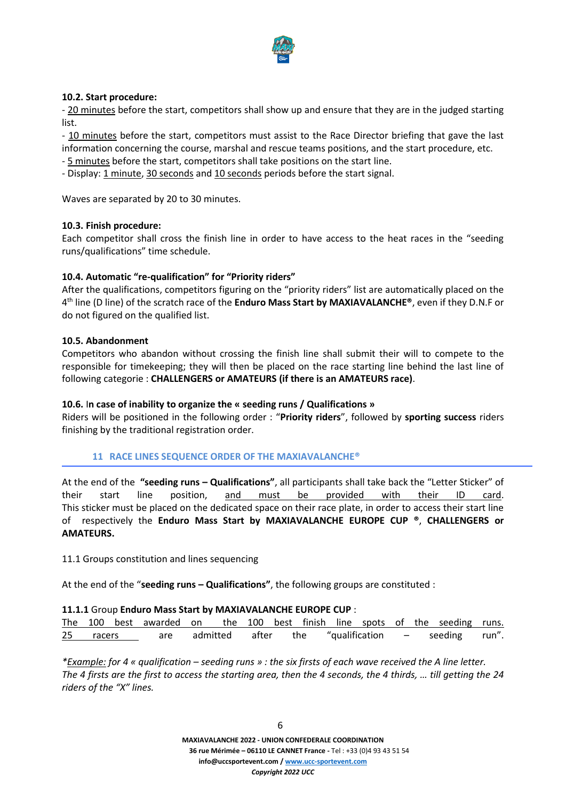

# **10.2. Start procedure:**

- 20 minutes before the start, competitors shall show up and ensure that they are in the judged starting list.

- 10 minutes before the start, competitors must assist to the Race Director briefing that gave the last information concerning the course, marshal and rescue teams positions, and the start procedure, etc.

- 5 minutes before the start, competitors shall take positions on the start line.

- Display: 1 minute, 30 seconds and 10 seconds periods before the start signal.

Waves are separated by 20 to 30 minutes.

#### **10.3. Finish procedure:**

Each competitor shall cross the finish line in order to have access to the heat races in the "seeding runs/qualifications" time schedule.

# **10.4. Automatic "re-qualification" for "Priority riders"**

After the qualifications, competitors figuring on the "priority riders" list are automatically placed on the 4 th line (D line) of the scratch race of the **Enduro Mass Start by MAXIAVALANCHE®**, even if they D.N.F or do not figured on the qualified list.

# **10.5. Abandonment**

Competitors who abandon without crossing the finish line shall submit their will to compete to the responsible for timekeeping; they will then be placed on the race starting line behind the last line of following categorie : **CHALLENGERS or AMATEURS (if there is an AMATEURS race)**.

#### **10.6.** I**n case of inability to organize the « seeding runs / Qualifications »**

Riders will be positioned in the following order : "**Priority riders**", followed by **sporting success** riders finishing by the traditional registration order.

# **11 RACE LINES SEQUENCE ORDER OF THE MAXIAVALANCHE®**

At the end of the **"seeding runs – Qualifications"**, all participants shall take back the "Letter Sticker" of their start line position, and must be provided with their ID card. This sticker must be placed on the dedicated space on their race plate, in order to access their start line of respectively the **Enduro Mass Start by MAXIAVALANCHE EUROPE CUP ®**, **CHALLENGERS or AMATEURS.**

11.1 Groups constitution and lines sequencing

At the end of the "**seeding runs – Qualifications"**, the following groups are constituted :

#### **11.1.1** Group **Enduro Mass Start by MAXIAVALANCHE EUROPE CUP** :

|  | The 100 best awarded on the 100 best finish line spots of the seeding runs. |  |  |  |  |  |  |
|--|-----------------------------------------------------------------------------|--|--|--|--|--|--|
|  | 25 racers are admitted after the "qualification - seeding run".             |  |  |  |  |  |  |

*\*Example: for 4 « qualification – seeding runs » : the six firsts of each wave received the A line letter. The 4 firsts are the first to access the starting area, then the 4 seconds, the 4 thirds, … till getting the 24 riders of the "X" lines.*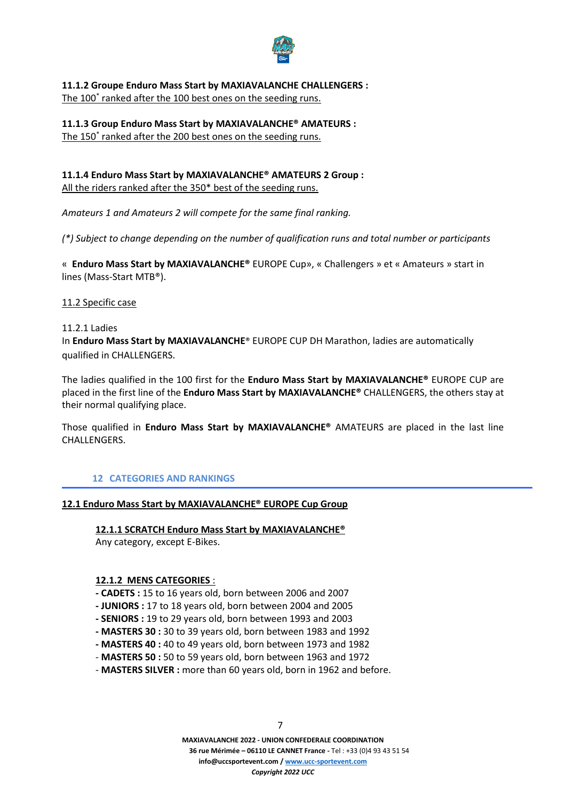

**11.1.2 Groupe Enduro Mass Start by MAXIAVALANCHE CHALLENGERS :**  The 100<sup>\*</sup> ranked after the 100 best ones on the seeding runs.

**11.1.3 Group Enduro Mass Start by MAXIAVALANCHE® AMATEURS :** The 150<sup>\*</sup> ranked after the 200 best ones on the seeding runs.

# **11.1.4 Enduro Mass Start by MAXIAVALANCHE® AMATEURS 2 Group :**

All the riders ranked after the 350\* best of the seeding runs.

*Amateurs 1 and Amateurs 2 will compete for the same final ranking.*

*(\*) Subject to change depending on the number of qualification runs and total number or participants*

« **Enduro Mass Start by MAXIAVALANCHE®** EUROPE Cup», « Challengers » et « Amateurs » start in lines (Mass-Start MTB®).

11.2 Specific case

# 11.2.1 Ladies

In **Enduro Mass Start by MAXIAVALANCHE**® EUROPE CUP DH Marathon, ladies are automatically qualified in CHALLENGERS.

The ladies qualified in the 100 first for the **Enduro Mass Start by MAXIAVALANCHE®** EUROPE CUP are placed in the first line of the **Enduro Mass Start by MAXIAVALANCHE®** CHALLENGERS, the others stay at their normal qualifying place.

Those qualified in **Enduro Mass Start by MAXIAVALANCHE®** AMATEURS are placed in the last line CHALLENGERS.

# **12 CATEGORIES AND RANKINGS**

# **12.1 Enduro Mass Start by MAXIAVALANCHE® EUROPE Cup Group**

# **12.1.1 SCRATCH Enduro Mass Start by MAXIAVALANCHE®**

Any category, except E-Bikes.

# **12.1.2 MENS CATEGORIES** :

- **- CADETS :** 15 to 16 years old, born between 2006 and 2007
- **- JUNIORS :** 17 to 18 years old, born between 2004 and 2005
- **- SENIORS :** 19 to 29 years old, born between 1993 and 2003
- **- MASTERS 30 :** 30 to 39 years old, born between 1983 and 1992
- **- MASTERS 40 :** 40 to 49 years old, born between 1973 and 1982
- **MASTERS 50 :** 50 to 59 years old, born between 1963 and 1972
- **MASTERS SILVER :** more than 60 years old, born in 1962 and before.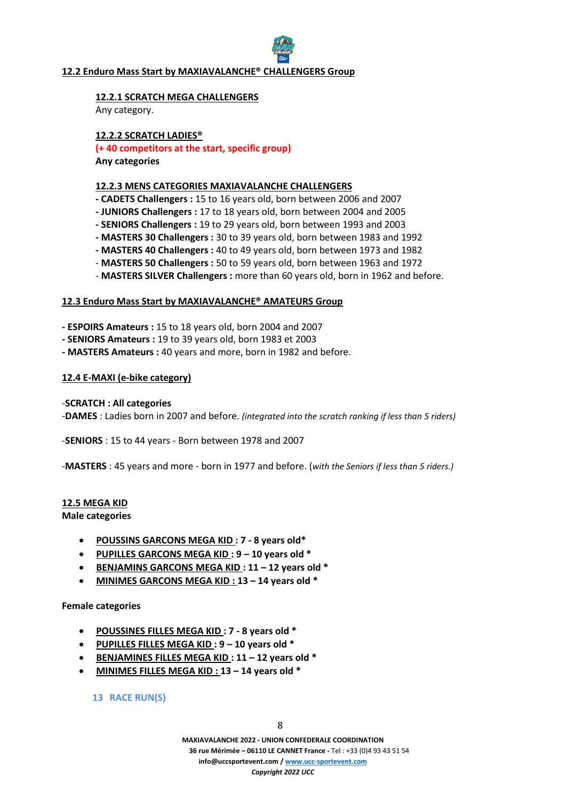# **12.2 Enduro Mass Start by MAXIAVALANCHE® CHALLENGERS Group**

# **12.2.1 SCRATCH MEGA CHALLENGERS**

Any category.

# **12.2.2 SCRATCH LADIES®**

**(+ 40 competitors at the start, specific group)**

**Any categories**

# **12.2.3 MENS CATEGORIES MAXIAVALANCHE CHALLENGERS**

- **- CADETS Challengers :** 15 to 16 years old, born between 2006 and 2007
- **- JUNIORS Challengers :** 17 to 18 years old, born between 2004 and 2005
- **- SENIORS Challengers :** 19 to 29 years old, born between 1993 and 2003
- **- MASTERS 30 Challengers :** 30 to 39 years old, born between 1983 and 1992
- **- MASTERS 40 Challengers :** 40 to 49 years old, born between 1973 and 1982
- **MASTERS 50 Challengers :** 50 to 59 years old, born between 1963 and 1972
- **MASTERS SILVER Challengers :** more than 60 years old, born in 1962 and before.

# **12.3 Enduro Mass Start by MAXIAVALANCHE® AMATEURS Group**

- **- ESPOIRS Amateurs :** 15 to 18 years old, born 2004 and 2007
- **- SENIORS Amateurs :** 19 to 39 years old, born 1983 et 2003
- **- MASTERS Amateurs :** 40 years and more, born in 1982 and before.

# **12.4 E-MAXI (e-bike category)**

# -**SCRATCH : All categories**

-**DAMES** : Ladies born in 2007 and before. *(integrated into the scratch ranking if less than 5 riders)*

-**SENIORS** : 15 to 44 years - Born between 1978 and 2007

-**MASTERS** : 45 years and more - born in 1977 and before. (*with the Seniors if less than 5 riders.)*

# **12.5 MEGA KID**

**Male categories**

- **POUSSINS GARCONS MEGA KID : 7 - 8 years old\***
- **PUPILLES GARCONS MEGA KID : 9 – 10 years old \***
- **BENJAMINS GARCONS MEGA KID : 11 – 12 years old \***
- **MINIMES GARCONS MEGA KID : 13 – 14 years old \***

# **Female categories**

- **POUSSINES FILLES MEGA KID : 7 - 8 years old \***
- **PUPILLES FILLES MEGA KID : 9 – 10 years old \***
- **BENJAMINES FILLES MEGA KID : 11 – 12 years old \***
- **MINIMES FILLES MEGA KID : 13 – 14 years old \***

**13 RACE RUN(S)**

**MAXIAVALANCHE 2022 - UNION CONFEDERALE COORDINATION 36 rue Mérimée – 06110 LE CANNET France -** Tel : +33 (0)4 93 43 51 54 **info@uccsportevent.com [/ www.ucc-sportevent.com](http://www.ucc-sportevent.com/)** *Copyright 2022 UCC*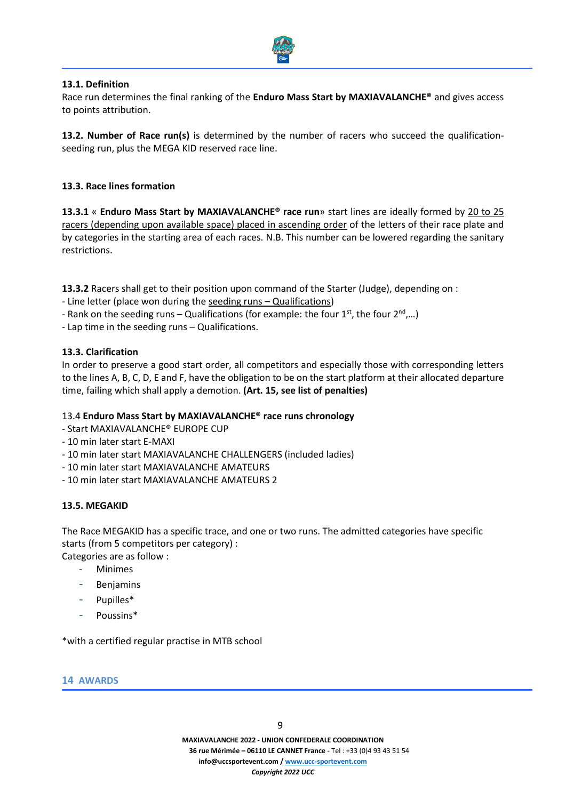

# **13.1. Definition**

Race run determines the final ranking of the **Enduro Mass Start by MAXIAVALANCHE®** and gives access to points attribution.

**13.2. Number of Race run(s)** is determined by the number of racers who succeed the qualificationseeding run, plus the MEGA KID reserved race line.

# **13.3. Race lines formation**

**13.3.1** « **Enduro Mass Start by MAXIAVALANCHE® race run**» start lines are ideally formed by 20 to 25 racers (depending upon available space) placed in ascending order of the letters of their race plate and by categories in the starting area of each races. N.B. This number can be lowered regarding the sanitary restrictions.

**13.3.2** Racers shall get to their position upon command of the Starter (Judge), depending on :

- Line letter (place won during the seeding runs Qualifications)
- Rank on the seeding runs Qualifications (for example: the four  $1^{st}$ , the four  $2^{nd}$ ,...)
- Lap time in the seeding runs Qualifications.

# **13.3. Clarification**

In order to preserve a good start order, all competitors and especially those with corresponding letters to the lines A, B, C, D, E and F, have the obligation to be on the start platform at their allocated departure time, failing which shall apply a demotion. **(Art. 15, see list of penalties)**

# 13.4 **Enduro Mass Start by MAXIAVALANCHE® race runs chronology**

- Start MAXIAVALANCHE® EUROPE CUP
- 10 min later start E-MAXI
- 10 min later start MAXIAVALANCHE CHALLENGERS (included ladies)
- 10 min later start MAXIAVALANCHE AMATEURS
- 10 min later start MAXIAVALANCHE AMATEURS 2

# **13.5. MEGAKID**

The Race MEGAKID has a specific trace, and one or two runs. The admitted categories have specific starts (from 5 competitors per category) :

Categories are as follow :

- **Minimes**
- **Benjamins**
- Pupilles\*
- Poussins\*

\*with a certified regular practise in MTB school

# **14 AWARDS**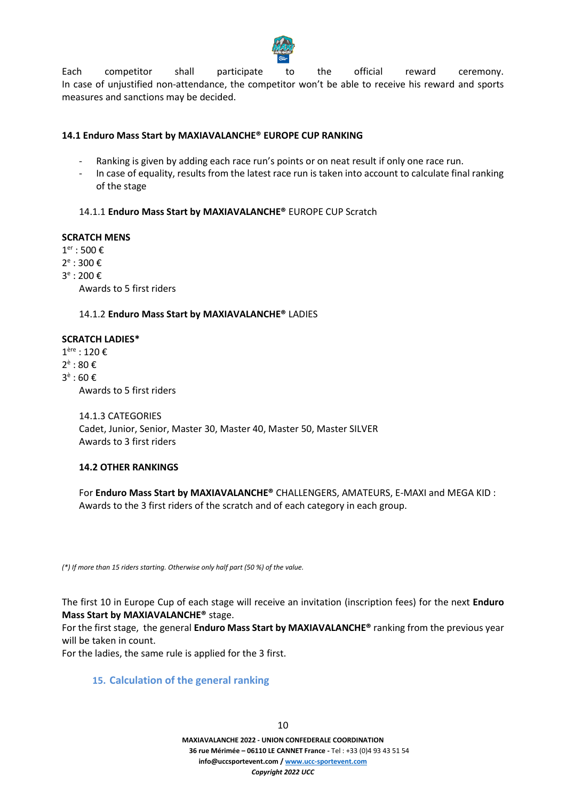

Each competitor shall participate to the official reward ceremony. In case of unjustified non-attendance, the competitor won't be able to receive his reward and sports measures and sanctions may be decided.

# **14.1 Enduro Mass Start by MAXIAVALANCHE® EUROPE CUP RANKING**

- Ranking is given by adding each race run's points or on neat result if only one race run.
- In case of equality, results from the latest race run is taken into account to calculate final ranking of the stage

# 14.1.1 **Enduro Mass Start by MAXIAVALANCHE®** EUROPE CUP Scratch

#### **SCRATCH MENS**

 $1<sup>er</sup> : 500 \in$ 

2<sup>e</sup> : 300 €

3<sup>e</sup> : 200 €

Awards to 5 first riders

# 14.1.2 **Enduro Mass Start by MAXIAVALANCHE®** LADIES

# **SCRATCH LADIES\***

1 ère : 120 € 2<sup>è</sup> : 80 € 3<sup>è</sup> : 60 € Awards to 5 first riders

> 14.1.3 CATEGORIES Cadet, Junior, Senior, Master 30, Master 40, Master 50, Master SILVER Awards to 3 first riders

# **14.2 OTHER RANKINGS**

For **Enduro Mass Start by MAXIAVALANCHE®** CHALLENGERS, AMATEURS, E-MAXI and MEGA KID : Awards to the 3 first riders of the scratch and of each category in each group.

*(\*) If more than 15 riders starting. Otherwise only half part (50 %) of the value.*

The first 10 in Europe Cup of each stage will receive an invitation (inscription fees) for the next **Enduro Mass Start by MAXIAVALANCHE®** stage.

For the first stage, the general **Enduro Mass Start by MAXIAVALANCHE®** ranking from the previous year will be taken in count.

For the ladies, the same rule is applied for the 3 first.

# **15. Calculation of the general ranking**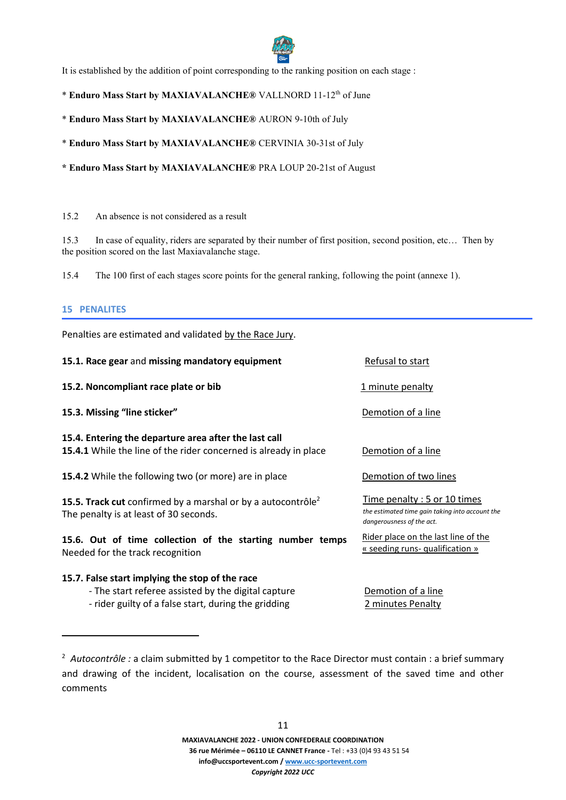

It is established by the addition of point corresponding to the ranking position on each stage :

\* Enduro Mass Start by MAXIAVALANCHE<sup>®</sup> VALLNORD 11-12<sup>th</sup> of June

\* **Enduro Mass Start by MAXIAVALANCHE®** AURON 9-10th of July

\* **Enduro Mass Start by MAXIAVALANCHE®** CERVINIA 30-31st of July

**\* Enduro Mass Start by MAXIAVALANCHE®** PRA LOUP 20-21st of August

#### 15.2 An absence is not considered as a result

15.3 In case of equality, riders are separated by their number of first position, second position, etc… Then by the position scored on the last Maxiavalanche stage.

15.4 The 100 first of each stages score points for the general ranking, following the point (annexe 1).

# **15 PENALITES**

Penalties are estimated and validated by the Race Jury.

| 15.1. Race gear and missing mandatory equipment                                                                                  | Refusal to start                                                                                            |  |  |
|----------------------------------------------------------------------------------------------------------------------------------|-------------------------------------------------------------------------------------------------------------|--|--|
| 15.2. Noncompliant race plate or bib                                                                                             | 1 minute penalty                                                                                            |  |  |
| 15.3. Missing "line sticker"                                                                                                     | Demotion of a line                                                                                          |  |  |
| 15.4. Entering the departure area after the last call<br><b>15.4.1</b> While the line of the rider concerned is already in place | Demotion of a line                                                                                          |  |  |
| 15.4.2 While the following two (or more) are in place                                                                            | Demotion of two lines                                                                                       |  |  |
| <b>15.5. Track cut</b> confirmed by a marshal or by a autocontrôle <sup>2</sup><br>The penalty is at least of 30 seconds.        | Time penalty: 5 or 10 times<br>the estimated time gain taking into account the<br>dangerousness of the act. |  |  |
| 15.6. Out of time collection of the starting number temps<br>Needed for the track recognition                                    | Rider place on the last line of the<br>« seeding runs- qualification »                                      |  |  |
| 15.7. False start implying the stop of the race                                                                                  |                                                                                                             |  |  |
| - The start referee assisted by the digital capture                                                                              | Demotion of a line                                                                                          |  |  |
| - rider guilty of a false start, during the gridding                                                                             | 2 minutes Penalty                                                                                           |  |  |

<sup>&</sup>lt;sup>2</sup> Autocontrôle *:* a claim submitted by 1 competitor to the Race Director must contain : a brief summary and drawing of the incident, localisation on the course, assessment of the saved time and other comments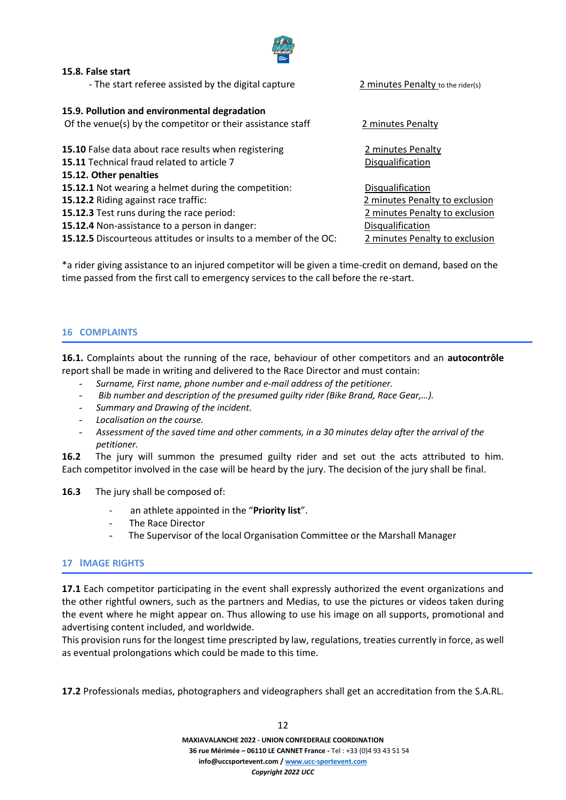

# **15.8. False start**

- The start referee assisted by the digital capture 2 minutes Penalty to the rider(s)

#### **15.9. Pollution and environmental degradation**

Of the venue(s) by the competitor or their assistance staff 2 minutes Penalty

**15.10** False data about race results when registering **15.10** Penalty

**15.11** Technical fraud related to article 7 Disqualification

# **15.12. Other penalties**

**15.12.1** Not wearing a helmet during the competition: Disqualification

**15.12.2** Riding against race traffic: 2 minutes Penalty to exclusion

**15.12.3** Test runs during the race period: 2 minutes Penalty to exclusion

**15.12.4** Non-assistance to a person in danger: Disqualification

**15.12.5** Discourteous attitudes or insults to a member of the OC: 2 minutes Penalty to exclusion

\*a rider giving assistance to an injured competitor will be given a time-credit on demand, based on the time passed from the first call to emergency services to the call before the re-start.

# **16 COMPLAINTS**

**16.1.** Complaints about the running of the race, behaviour of other competitors and an **autocontrôle** report shall be made in writing and delivered to the Race Director and must contain:

- *Surname, First name, phone number and e-mail address of the petitioner.*
- *Bib number and description of the presumed guilty rider (Bike Brand, Race Gear,…).*
- *Summary and Drawing of the incident.*
- *Localisation on the course.*
- *Assessment of the saved time and other comments, in a 30 minutes delay after the arrival of the petitioner.*

**16.2** The jury will summon the presumed guilty rider and set out the acts attributed to him. Each competitor involved in the case will be heard by the jury. The decision of the jury shall be final.

**16.3** The jury shall be composed of:

- an athlete appointed in the "**Priority list**".
- The Race Director
- The Supervisor of the local Organisation Committee or the Marshall Manager

# **17 IMAGE RIGHTS**

**17.1** Each competitor participating in the event shall expressly authorized the event organizations and the other rightful owners, such as the partners and Medias, to use the pictures or videos taken during the event where he might appear on. Thus allowing to use his image on all supports, promotional and advertising content included, and worldwide.

This provision runs for the longest time prescripted by law, regulations, treaties currently in force, as well as eventual prolongations which could be made to this time.

**17.2** Professionals medias, photographers and videographers shall get an accreditation from the S.A.RL.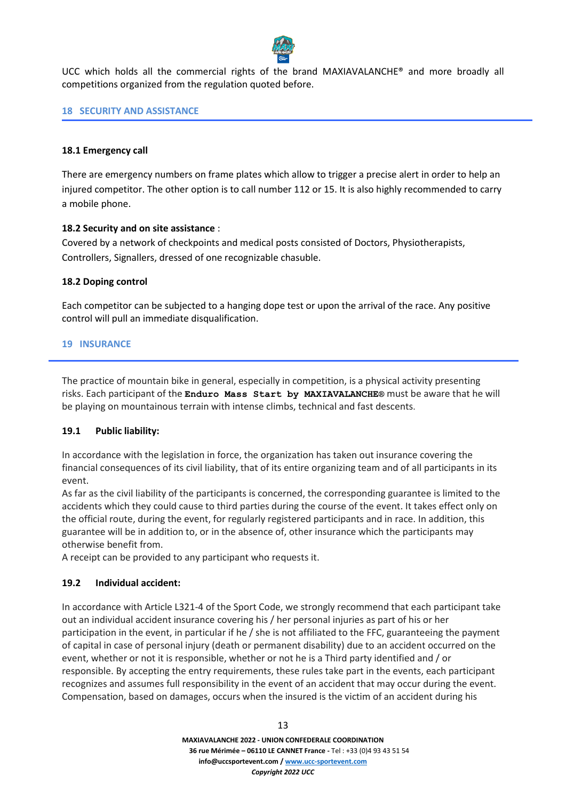

UCC which holds all the commercial rights of the brand MAXIAVALANCHE® and more broadly all competitions organized from the regulation quoted before.

# **18 SECURITY AND ASSISTANCE**

# **18.1 Emergency call**

There are emergency numbers on frame plates which allow to trigger a precise alert in order to help an injured competitor. The other option is to call number 112 or 15. It is also highly recommended to carry a mobile phone.

# **18.2 Security and on site assistance** :

Covered by a network of checkpoints and medical posts consisted of Doctors, Physiotherapists, Controllers, Signallers, dressed of one recognizable chasuble.

# **18.2 Doping control**

Each competitor can be subjected to a hanging dope test or upon the arrival of the race. Any positive control will pull an immediate disqualification.

# **19 INSURANCE**

The practice of mountain bike in general, especially in competition, is a physical activity presenting risks. Each participant of the **Enduro Mass Start by MAXIAVALANCHE®** must be aware that he will be playing on mountainous terrain with intense climbs, technical and fast descents.

# **19.1 Public liability:**

In accordance with the legislation in force, the organization has taken out insurance covering the financial consequences of its civil liability, that of its entire organizing team and of all participants in its event.

As far as the civil liability of the participants is concerned, the corresponding guarantee is limited to the accidents which they could cause to third parties during the course of the event. It takes effect only on the official route, during the event, for regularly registered participants and in race. In addition, this guarantee will be in addition to, or in the absence of, other insurance which the participants may otherwise benefit from.

A receipt can be provided to any participant who requests it.

# **19.2 Individual accident:**

In accordance with Article L321-4 of the Sport Code, we strongly recommend that each participant take out an individual accident insurance covering his / her personal injuries as part of his or her participation in the event, in particular if he / she is not affiliated to the FFC, guaranteeing the payment of capital in case of personal injury (death or permanent disability) due to an accident occurred on the event, whether or not it is responsible, whether or not he is a Third party identified and / or responsible. By accepting the entry requirements, these rules take part in the events, each participant recognizes and assumes full responsibility in the event of an accident that may occur during the event. Compensation, based on damages, occurs when the insured is the victim of an accident during his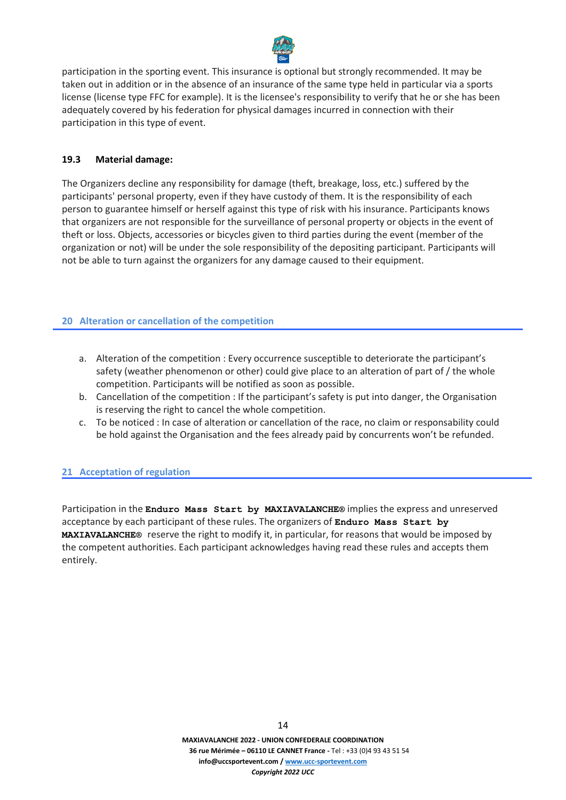

participation in the sporting event. This insurance is optional but strongly recommended. It may be taken out in addition or in the absence of an insurance of the same type held in particular via a sports license (license type FFC for example). It is the licensee's responsibility to verify that he or she has been adequately covered by his federation for physical damages incurred in connection with their participation in this type of event.

# **19.3 Material damage:**

The Organizers decline any responsibility for damage (theft, breakage, loss, etc.) suffered by the participants' personal property, even if they have custody of them. It is the responsibility of each person to guarantee himself or herself against this type of risk with his insurance. Participants knows that organizers are not responsible for the surveillance of personal property or objects in the event of theft or loss. Objects, accessories or bicycles given to third parties during the event (member of the organization or not) will be under the sole responsibility of the depositing participant. Participants will not be able to turn against the organizers for any damage caused to their equipment.

# **20 Alteration or cancellation of the competition**

- a. Alteration of the competition : Every occurrence susceptible to deteriorate the participant's safety (weather phenomenon or other) could give place to an alteration of part of / the whole competition. Participants will be notified as soon as possible.
- b. Cancellation of the competition : If the participant's safety is put into danger, the Organisation is reserving the right to cancel the whole competition.
- c. To be noticed : In case of alteration or cancellation of the race, no claim or responsability could be hold against the Organisation and the fees already paid by concurrents won't be refunded.

# **21 Acceptation of regulation**

Participation in the **Enduro Mass Start by MAXIAVALANCHE®** implies the express and unreserved acceptance by each participant of these rules. The organizers of **Enduro Mass Start by MAXIAVALANCHE®** reserve the right to modify it, in particular, for reasons that would be imposed by the competent authorities. Each participant acknowledges having read these rules and accepts them entirely.